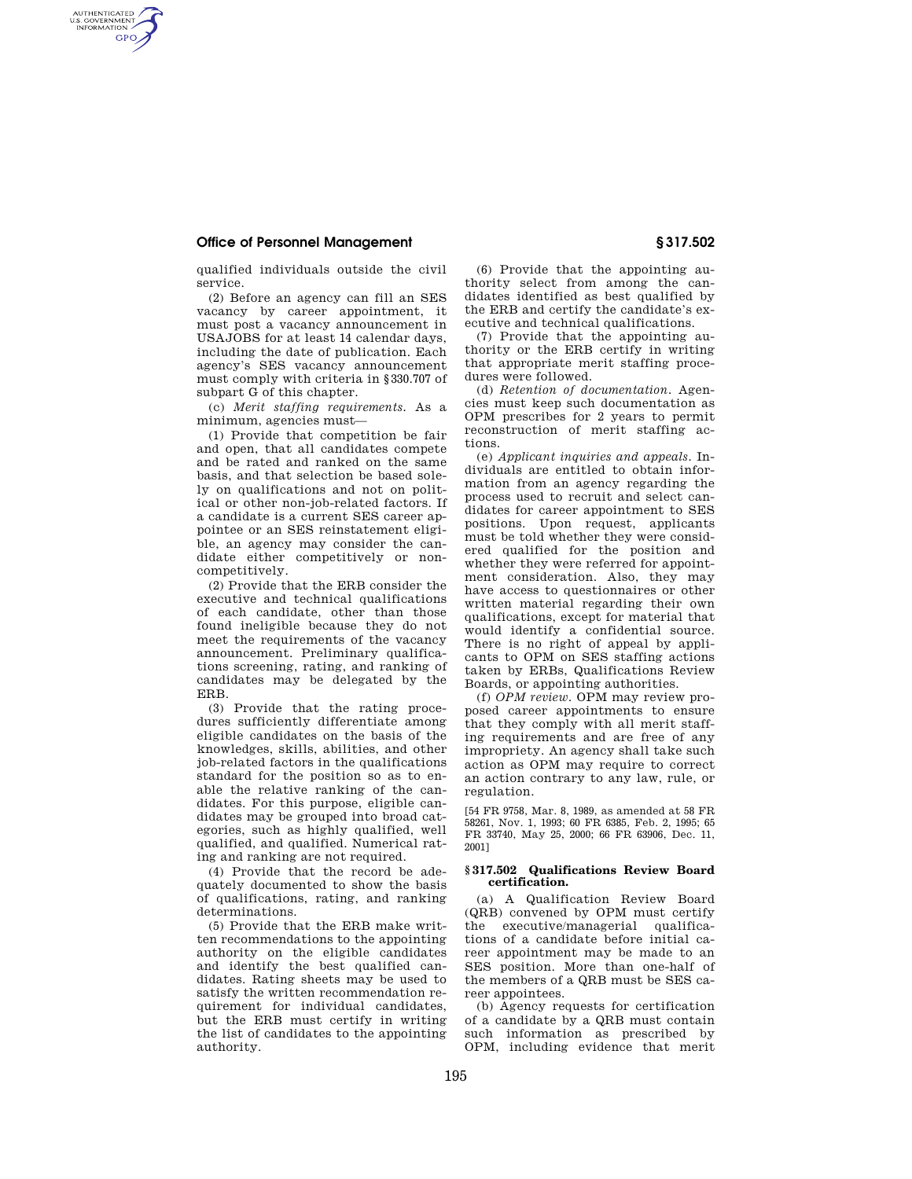## **Office of Personnel Management § 317.502**

AUTHENTICATED<br>U.S. GOVERNMENT<br>INFORMATION **GPO** 

qualified individuals outside the civil service.

(2) Before an agency can fill an SES vacancy by career appointment, it must post a vacancy announcement in USAJOBS for at least 14 calendar days, including the date of publication. Each agency's SES vacancy announcement must comply with criteria in §330.707 of subpart G of this chapter.

(c) *Merit staffing requirements.* As a minimum, agencies must—

(1) Provide that competition be fair and open, that all candidates compete and be rated and ranked on the same basis, and that selection be based solely on qualifications and not on political or other non-job-related factors. If a candidate is a current SES career appointee or an SES reinstatement eligible, an agency may consider the candidate either competitively or noncompetitively.

(2) Provide that the ERB consider the executive and technical qualifications of each candidate, other than those found ineligible because they do not meet the requirements of the vacancy announcement. Preliminary qualifications screening, rating, and ranking of candidates may be delegated by the ERB.

(3) Provide that the rating procedures sufficiently differentiate among eligible candidates on the basis of the knowledges, skills, abilities, and other job-related factors in the qualifications standard for the position so as to enable the relative ranking of the candidates. For this purpose, eligible candidates may be grouped into broad categories, such as highly qualified, well qualified, and qualified. Numerical rating and ranking are not required.

(4) Provide that the record be adequately documented to show the basis of qualifications, rating, and ranking determinations.

(5) Provide that the ERB make written recommendations to the appointing authority on the eligible candidates and identify the best qualified candidates. Rating sheets may be used to satisfy the written recommendation requirement for individual candidates, but the ERB must certify in writing the list of candidates to the appointing authority.

(6) Provide that the appointing authority select from among the candidates identified as best qualified by the ERB and certify the candidate's executive and technical qualifications.

(7) Provide that the appointing authority or the ERB certify in writing that appropriate merit staffing procedures were followed.

(d) *Retention of documentation.* Agencies must keep such documentation as OPM prescribes for 2 years to permit reconstruction of merit staffing actions.

(e) *Applicant inquiries and appeals.* Individuals are entitled to obtain information from an agency regarding the process used to recruit and select candidates for career appointment to SES positions. Upon request, applicants must be told whether they were considered qualified for the position and whether they were referred for appointment consideration. Also, they may have access to questionnaires or other written material regarding their own qualifications, except for material that would identify a confidential source. There is no right of appeal by applicants to OPM on SES staffing actions taken by ERBs, Qualifications Review Boards, or appointing authorities.

(f) *OPM review.* OPM may review proposed career appointments to ensure that they comply with all merit staffing requirements and are free of any impropriety. An agency shall take such action as OPM may require to correct an action contrary to any law, rule, or regulation.

[54 FR 9758, Mar. 8, 1989, as amended at 58 FR 58261, Nov. 1, 1993; 60 FR 6385, Feb. 2, 1995; 65 FR 33740, May 25, 2000; 66 FR 63906, Dec. 11, 2001]

## **§ 317.502 Qualifications Review Board certification.**

(a) A Qualification Review Board (QRB) convened by OPM must certify the executive/managerial qualifications of a candidate before initial career appointment may be made to an SES position. More than one-half of the members of a QRB must be SES career appointees.

(b) Agency requests for certification of a candidate by a QRB must contain such information as prescribed by OPM, including evidence that merit